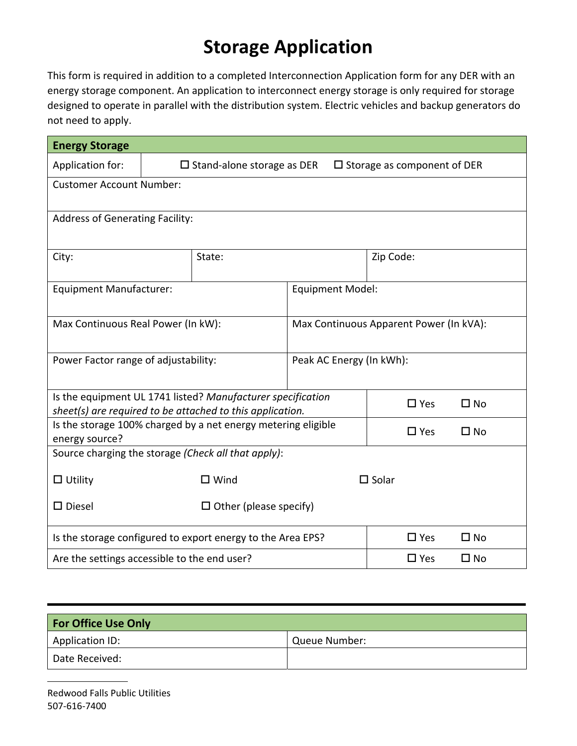## **Storage Application**

This form is required in addition to a completed Interconnection Application form for any DER with an energy storage component. An application to interconnect energy storage is only required for storage designed to operate in parallel with the distribution system. Electric vehicles and backup generators do not need to apply.

| <b>Energy Storage</b>                                                                                                      |                                                                               |        |                                         |                 |              |  |  |
|----------------------------------------------------------------------------------------------------------------------------|-------------------------------------------------------------------------------|--------|-----------------------------------------|-----------------|--------------|--|--|
| Application for:                                                                                                           | $\square$ Stand-alone storage as DER<br>$\square$ Storage as component of DER |        |                                         |                 |              |  |  |
| <b>Customer Account Number:</b>                                                                                            |                                                                               |        |                                         |                 |              |  |  |
|                                                                                                                            |                                                                               |        |                                         |                 |              |  |  |
| <b>Address of Generating Facility:</b>                                                                                     |                                                                               |        |                                         |                 |              |  |  |
|                                                                                                                            |                                                                               |        |                                         |                 |              |  |  |
| City:                                                                                                                      |                                                                               | State: |                                         | Zip Code:       |              |  |  |
|                                                                                                                            |                                                                               |        |                                         |                 |              |  |  |
| <b>Equipment Manufacturer:</b>                                                                                             |                                                                               |        | <b>Equipment Model:</b>                 |                 |              |  |  |
|                                                                                                                            |                                                                               |        |                                         |                 |              |  |  |
| Max Continuous Real Power (In kW):                                                                                         |                                                                               |        | Max Continuous Apparent Power (In kVA): |                 |              |  |  |
|                                                                                                                            |                                                                               |        |                                         |                 |              |  |  |
| Power Factor range of adjustability:                                                                                       |                                                                               |        | Peak AC Energy (In kWh):                |                 |              |  |  |
|                                                                                                                            |                                                                               |        |                                         |                 |              |  |  |
| Is the equipment UL 1741 listed? Manufacturer specification                                                                |                                                                               |        |                                         | $\square$ Yes   | $\square$ No |  |  |
| sheet(s) are required to be attached to this application.<br>Is the storage 100% charged by a net energy metering eligible |                                                                               |        |                                         |                 |              |  |  |
| energy source?                                                                                                             |                                                                               |        |                                         | $\Box$ Yes      | $\square$ No |  |  |
| Source charging the storage (Check all that apply):                                                                        |                                                                               |        |                                         |                 |              |  |  |
| $\Box$ Utility                                                                                                             | $\square$ Wind                                                                |        |                                         | $\square$ Solar |              |  |  |
|                                                                                                                            |                                                                               |        |                                         |                 |              |  |  |
| $\square$ Diesel<br>$\Box$ Other (please specify)                                                                          |                                                                               |        |                                         |                 |              |  |  |
| Is the storage configured to export energy to the Area EPS?                                                                |                                                                               |        |                                         | $\square$ Yes   | $\square$ No |  |  |
| Are the settings accessible to the end user?                                                                               |                                                                               |        |                                         | $\square$ Yes   | $\square$ No |  |  |

| <b>For Office Use Only</b> |               |  |  |  |
|----------------------------|---------------|--|--|--|
| Application ID:            | Queue Number: |  |  |  |
| Date Received:             |               |  |  |  |